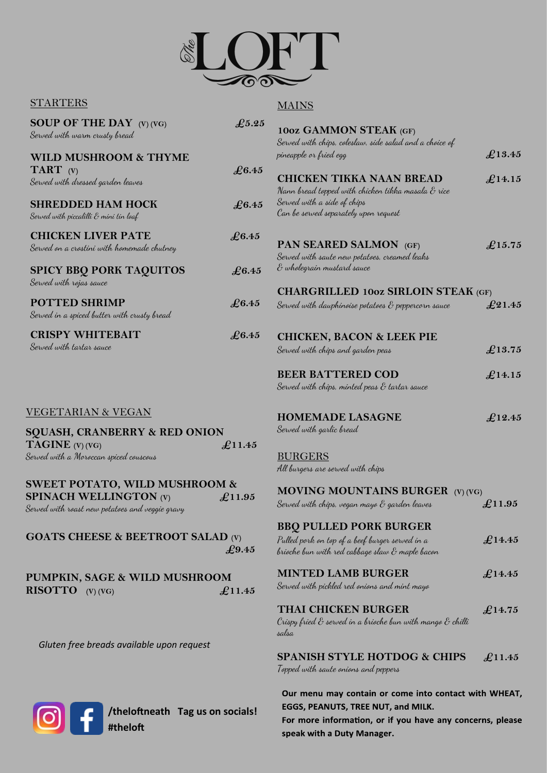

## **STARTERS**

## **MAINS**

| SOUP OF THE DAY $(V)$ $(VG)$<br>Served with warm crusty bread                    | $\pounds$ 5.25  | 10oz GAMMON STEAK (GF)<br>Served with chips, coleslaw, side salad and a choice of                                       |                 |
|----------------------------------------------------------------------------------|-----------------|-------------------------------------------------------------------------------------------------------------------------|-----------------|
| WILD MUSHROOM & THYME                                                            |                 | pineapple or fried egg                                                                                                  | $\pounds$ 13.45 |
| <b>TART</b> $(V)$<br>Served with dressed garden leaves                           | £6.45           | <b>CHICKEN TIKKA NAAN BREAD</b><br>Nann bread topped with chicken tikka masala & rice                                   | $\pounds$ 14.15 |
| <b>SHREDDED HAM HOCK</b><br>Served with piccalilli & mini tin loaf               | £6.45           | Served with a side of chips<br>Can be served separately upon request                                                    |                 |
| <b>CHICKEN LIVER PATE</b><br>Served on a crostini with homemade chutney          | $\pounds 6.45$  | PAN SEARED SALMON (GF)<br>Served with saute new potatoes, creamed leaks                                                 | $\pounds$ 15.75 |
| <b>SPICY BBQ PORK TAQUITOS</b><br>Served with rojas sauce                        | £6.45           | ${\mathcal E}$ wholegrain mustard sauce                                                                                 |                 |
|                                                                                  |                 | <b>CHARGRILLED 1002 SIRLOIN STEAK (GF)</b>                                                                              |                 |
| <b>POTTED SHRIMP</b><br>Served in a spiced butter with crusty bread              | $\pounds 6.45$  | Served with dauphinoise potatoes $\mathcal E$ peppercorn sauce                                                          | $\pounds21.45$  |
| <b>CRISPY WHITEBAIT</b>                                                          | $\pounds 6.45$  | <b>CHICKEN, BACON &amp; LEEK PIE</b>                                                                                    |                 |
| Served with tartar sauce                                                         |                 | Served with chips and garden peas                                                                                       | $\pounds$ 13.75 |
|                                                                                  |                 | <b>BEER BATTERED COD</b>                                                                                                | $\pounds$ 14.15 |
|                                                                                  |                 | Served with chips, minted peas $\mathcal E$ tartar sauce                                                                |                 |
| <b>VEGETARIAN &amp; VEGAN</b>                                                    |                 | <b>HOMEMADE LASAGNE</b>                                                                                                 | £12.45          |
| <b>SQUASH, CRANBERRY &amp; RED ONION</b>                                         |                 | Served with garlic bread                                                                                                |                 |
| <b>TAGINE</b> $(V)$ $(VG)$                                                       | $\pounds$ 11.45 |                                                                                                                         |                 |
| Served with a Moroccan spiced couscous                                           |                 | <b>BURGERS</b><br>All burgers are served with chips                                                                     |                 |
| <b>SWEET POTATO, WILD MUSHROOM &amp;</b>                                         |                 | <b>MOVING MOUNTAINS BURGER (V) (VG)</b>                                                                                 |                 |
| <b>SPINACH WELLINGTON (V)</b><br>Served with roast new potatoes and veggie gravy | £11.95          | Served with chips, vegan mayo & garden leaves                                                                           | $\pounds$ 11.95 |
|                                                                                  |                 | <b>BBO PULLED PORK BURGER</b>                                                                                           |                 |
| <b>GOATS CHEESE &amp; BEETROOT SALAD (V)</b>                                     | $\pounds$ 9.45  | Pulled pork on top of a beef burger served in a<br>brioche bun with red cabbage slaw ${\mathcal E}$ maple bacon         | $\pounds$ 14.45 |
| PUMPKIN, SAGE & WILD MUSHROOM                                                    |                 | <b>MINTED LAMB BURGER</b>                                                                                               | $\pounds$ 14.45 |
| <b>RISOTTO</b> $(V)$ $(VG)$                                                      | $\pounds$ 11.45 | Served with pickled red onions and mint mayo                                                                            |                 |
|                                                                                  |                 | <b>THAI CHICKEN BURGER</b><br>Crispy fried $\mathscr E$ served in a brioche bun with mango $\mathscr E$ chilli<br>salsa | $\pounds$ 14.75 |
| Gluten free breads available upon request                                        |                 | <b>SPANISH STYLE HOTDOG &amp; CHIPS</b><br>Topped with saute onions and peppers                                         | $\pounds$ 11.45 |
|                                                                                  |                 | Our menu may contain or come into contact with WHEAT,                                                                   |                 |



**/theloftneath Tag us on socials!** 

For more information, or if you have any concerns, please speak with a Duty Manager.

EGGS, PEANUTS, TREE NUT, and MILK.